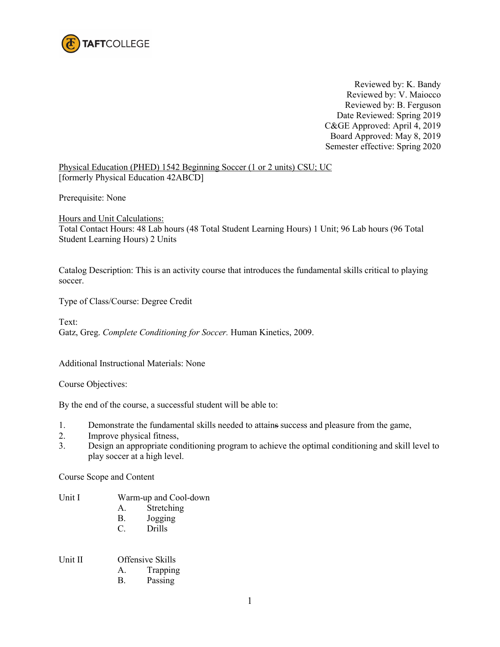

Reviewed by: K. Bandy Reviewed by: V. Maiocco Reviewed by: B. Ferguson Date Reviewed: Spring 2019 C&GE Approved: April 4, 2019 Board Approved: May 8, 2019 Semester effective: Spring 2020

Physical Education (PHED) 1542 Beginning Soccer (1 or 2 units) CSU; UC [formerly Physical Education 42ABCD]

Prerequisite: None

Hours and Unit Calculations: Total Contact Hours: 48 Lab hours (48 Total Student Learning Hours) 1 Unit; 96 Lab hours (96 Total Student Learning Hours) 2 Units

Catalog Description: This is an activity course that introduces the fundamental skills critical to playing soccer.

Type of Class/Course: Degree Credit

Text: Gatz, Greg. *Complete Conditioning for Soccer.* Human Kinetics, 2009.

Additional Instructional Materials: None

Course Objectives:

By the end of the course, a successful student will be able to:

- 1. Demonstrate the fundamental skills needed to attains success and pleasure from the game,
- 2. Improve physical fitness,
- 3. Design an appropriate conditioning program to achieve the optimal conditioning and skill level to play soccer at a high level.

Course Scope and Content

- Unit I Warm-up and Cool-down
	- A. Stretching
	- B. Jogging
	- C. Drills

## Unit II Offensive Skills

- A. Trapping
- B. Passing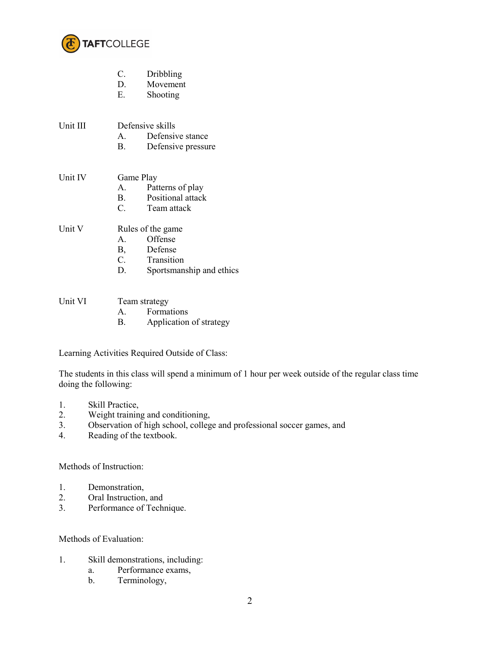

|          | Dribbling<br>C.                   |
|----------|-----------------------------------|
|          | Movement<br>D.                    |
|          | Е.<br>Shooting                    |
|          |                                   |
| Unit III | Defensive skills                  |
|          | Defensive stance<br>$\mathbf{A}$  |
|          | В.<br>Defensive pressure          |
|          |                                   |
| Unit IV  | Game Play                         |
|          | Patterns of play<br>$A_{-}$       |
|          | Positional attack<br>$\mathbf{B}$ |
|          | C.<br>Team attack                 |
|          |                                   |
| Unit V   | Rules of the game                 |
|          | Offense<br>$\mathsf{A}$           |
|          | Defense<br>B,                     |
|          | C.<br>Transition                  |
|          | D.<br>Sportsmanship and ethics    |
|          |                                   |
|          |                                   |
| Unit VI  | Team strategy                     |
|          | Formations<br>А.                  |
|          | Application of strategy<br>B.     |

Learning Activities Required Outside of Class:

The students in this class will spend a minimum of 1 hour per week outside of the regular class time doing the following:

- 1. Skill Practice,
- 2. Weight training and conditioning,
- 3. Observation of high school, college and professional soccer games, and
- 4. Reading of the textbook.

## Methods of Instruction:

- 1. Demonstration,
- 2. Oral Instruction, and<br>3. Performance of Tech
- Performance of Technique.

## Methods of Evaluation:

- 1. Skill demonstrations, including:
	- a. Performance exams,
	- b. Terminology,